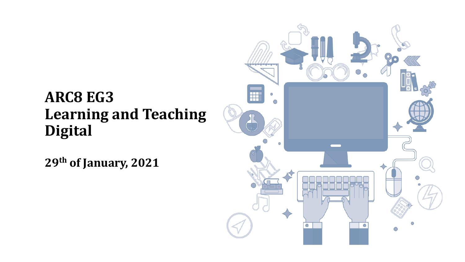# **ARC8 EG3 Learning and Teaching Digital**

**29th of January, 2021**

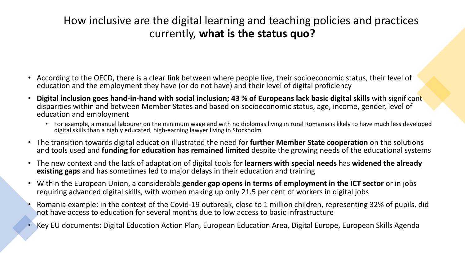## How inclusive are the digital learning and teaching policies and practices currently, **what is the status quo?**

- According to the OECD, there is a clear **link** between where people live, their socioeconomic status, their level of education and the employment they have (or do not have) and their level of digital proficiency
- **Digital inclusion goes hand-in-hand with social inclusion; 43 % of Europeans lack basic digital skills** with significant disparities within and between Member States and based on socioeconomic status, age, income, gender, level of education and employment
	- For example, a manual labourer on the minimum wage and with no diplomas living in rural Romania is likely to have much less developed digital skills than a highly educated, high-earning lawyer living in Stockholm
- The transition towards digital education illustrated the need for **further Member State cooperation** on the solutions and tools used and **funding for education has remained limited** despite the growing needs of the educational systems
- The new context and the lack of adaptation of digital tools for **learners with special needs** has **widened the already existing gaps** and has sometimes led to major delays in their education and training
- Within the European Union, a considerable **gender gap opens in terms of employment in the ICT sector** or in jobs requiring advanced digital skills, with women making up only 21.5 per cent of workers in digital jobs
- Romania example: in the context of the Covid-19 outbreak, close to 1 million children, representing 32% of pupils, did not have access to education for several months due to low access to basic infrastructure
- Key EU documents: Digital Education Action Plan, European Education Area, Digital Europe, European Skills Agenda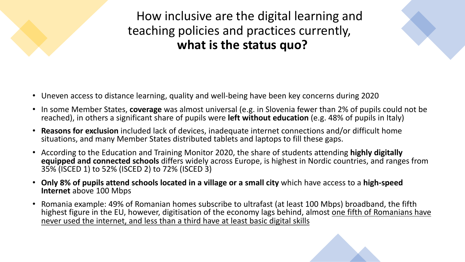How inclusive are the digital learning and teaching policies and practices currently, **what is the status quo?**



- Uneven access to distance learning, quality and well-being have been key concerns during 2020
- In some Member States, **coverage** was almost universal (e.g. in Slovenia fewer than 2% of pupils could not be reached), in others a significant share of pupils were **left without education** (e.g. 48% of pupils in Italy)
- **Reasons for exclusion** included lack of devices, inadequate internet connections and/or difficult home situations, and many Member States distributed tablets and laptops to fill these gaps.
- According to the Education and Training Monitor 2020, the share of students attending **highly digitally equipped and connected schools** differs widely across Europe, is highest in Nordic countries, and ranges from 35% (ISCED 1) to 52% (ISCED 2) to 72% (ISCED 3)
- **Only 8% of pupils attend schools located in a village or a small city** which have access to a **high-speed Internet** above 100 Mbps
- Romania example: 49% of Romanian homes subscribe to ultrafast (at least 100 Mbps) broadband, the fifth highest figure in the EU, however, digitisation of the economy lags behind, almost one fifth of Romanians have never used the internet, and less than a third have at least basic digital skills

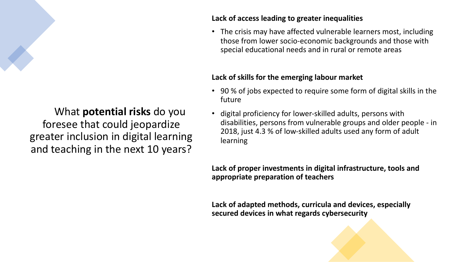# What **potential risks** do you foresee that could jeopardize greater inclusion in digital learning and teaching in the next 10 years?

#### **Lack of access leading to greater inequalities**

• The crisis may have affected vulnerable learners most, including those from lower socio-economic backgrounds and those with special educational needs and in rural or remote areas

#### **Lack of skills for the emerging labour market**

- 90 % of jobs expected to require some form of digital skills in the future
- digital proficiency for lower-skilled adults, persons with disabilities, persons from vulnerable groups and older people - in 2018, just 4.3 % of low-skilled adults used any form of adult learning

**Lack of proper investments in digital infrastructure, tools and appropriate preparation of teachers**

**Lack of adapted methods, curricula and devices, especially secured devices in what regards cybersecurity**